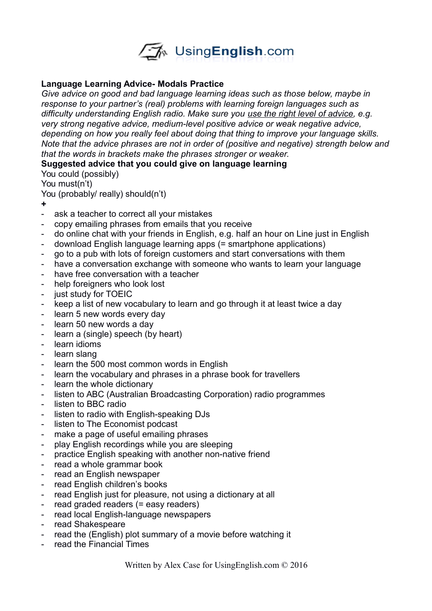

## **Language Learning Advice- Modals Practice**

*Give advice on good and bad language learning ideas such as those below, maybe in response to your partner's (real) problems with learning foreign languages such as difficulty understanding English radio. Make sure you use the right level of advice, e.g. very strong negative advice, medium-level positive advice or weak negative advice, depending on how you really feel about doing that thing to improve your language skills. Note that the advice phrases are not in order of (positive and negative) strength below and that the words in brackets make the phrases stronger or weaker.* 

## **Suggested advice that you could give on language learning**

You could (possibly)

You must(n't)

You (probably/ really) should(n't)

- **+**
- ask a teacher to correct all your mistakes
- copy emailing phrases from emails that you receive
- do online chat with your friends in English, e.g. half an hour on Line just in English
- download English language learning apps (= smartphone applications)
- go to a pub with lots of foreign customers and start conversations with them
- have a conversation exchange with someone who wants to learn your language
- have free conversation with a teacher
- help foreigners who look lost
- just study for TOEIC
- keep a list of new vocabulary to learn and go through it at least twice a day
- learn 5 new words every day
- learn 50 new words a day
- learn a (single) speech (by heart)
- learn idioms
- learn slang
- learn the 500 most common words in English
- learn the vocabulary and phrases in a phrase book for travellers
- learn the whole dictionary
- listen to ABC (Australian Broadcasting Corporation) radio programmes
- listen to BBC radio
- listen to radio with English-speaking DJs
- listen to The Economist podcast
- make a page of useful emailing phrases
- play English recordings while you are sleeping
- practice English speaking with another non-native friend
- read a whole grammar book
- read an English newspaper
- read English children's books
- read English just for pleasure, not using a dictionary at all
- read graded readers (= easy readers)
- read local English-language newspapers
- read Shakespeare
- read the (English) plot summary of a movie before watching it
- read the Financial Times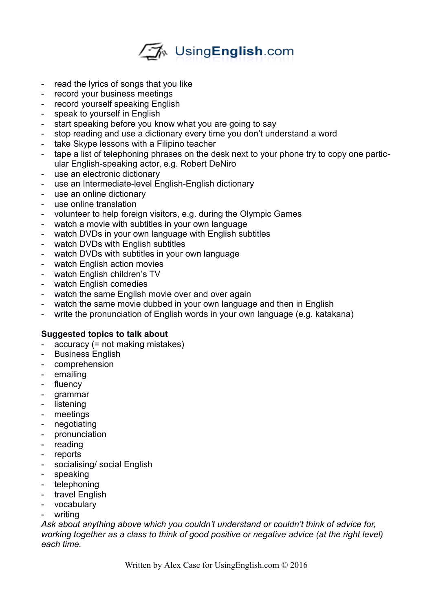

- read the lyrics of songs that you like
- record your business meetings
- record yourself speaking English
- speak to yourself in English
- start speaking before you know what you are going to say
- stop reading and use a dictionary every time you don't understand a word
- take Skype lessons with a Filipino teacher
- tape a list of telephoning phrases on the desk next to your phone try to copy one particular English-speaking actor, e.g. Robert DeNiro
- use an electronic dictionary
- use an Intermediate-level English-English dictionary
- use an online dictionary
- use online translation
- volunteer to help foreign visitors, e.g. during the Olympic Games
- watch a movie with subtitles in your own language
- watch DVDs in your own language with English subtitles
- watch DVDs with English subtitles
- watch DVDs with subtitles in your own language
- watch English action movies
- watch English children's TV
- watch English comedies
- watch the same English movie over and over again
- watch the same movie dubbed in your own language and then in English
- write the pronunciation of English words in your own language (e.g. katakana)

## **Suggested topics to talk about**

- $accuracy (= not making mistakes)$
- Business English
- comprehension
- emailing
- fluency
- grammar
- listening
- meetings
- negotiating
- pronunciation
- reading
- reports
- socialising/ social English
- speaking
- telephoning
- travel English
- vocabulary
- writing

*Ask about anything above which you couldn't understand or couldn't think of advice for,*  working together as a class to think of good positive or negative advice (at the right level) *each time.*